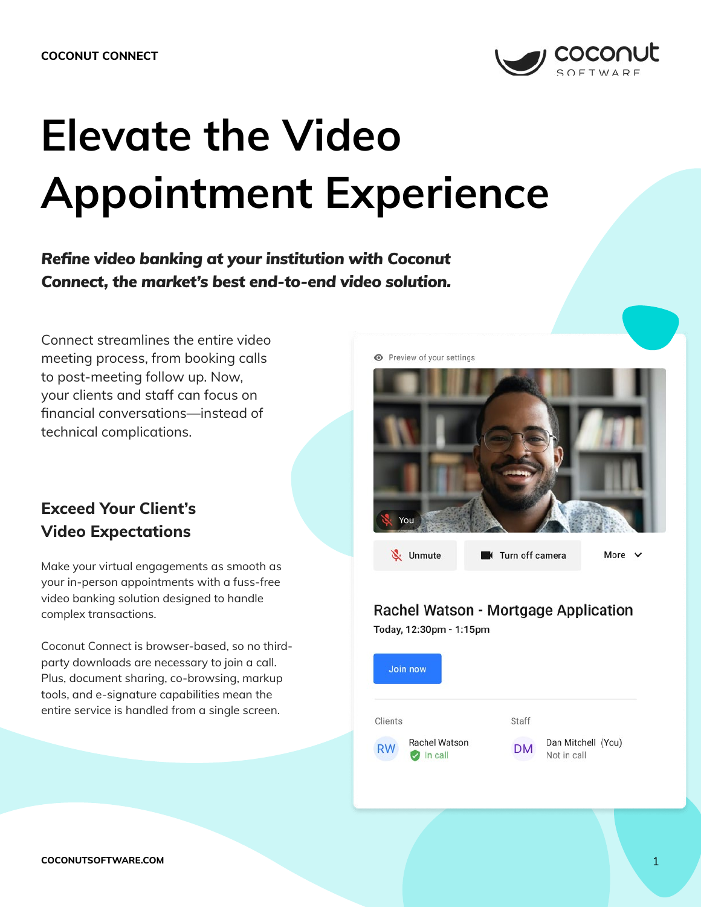

# **Elevate the Video Appointment Experience**

*Refine video banking at your institution with Coconut Connect, the market's best end-to-end video solution.*

Connect streamlines the entire video meeting process, from booking calls to post-meeting follow up. Now, your clients and staff can focus on financial conversations—instead of technical complications.

## **Exceed Your Client's Video Expectations**

Make your virtual engagements as smooth as your in-person appointments with a fuss-free video banking solution designed to handle complex transactions.

Coconut Connect is browser-based, so no thirdparty downloads are necessary to join a call. Plus, document sharing, co-browsing, markup tools, and e-signature capabilities mean the entire service is handled from a single screen.

**O** Preview of your settings



## Rachel Watson - Mortgage Application

Today, 12:30pm - 1:15pm

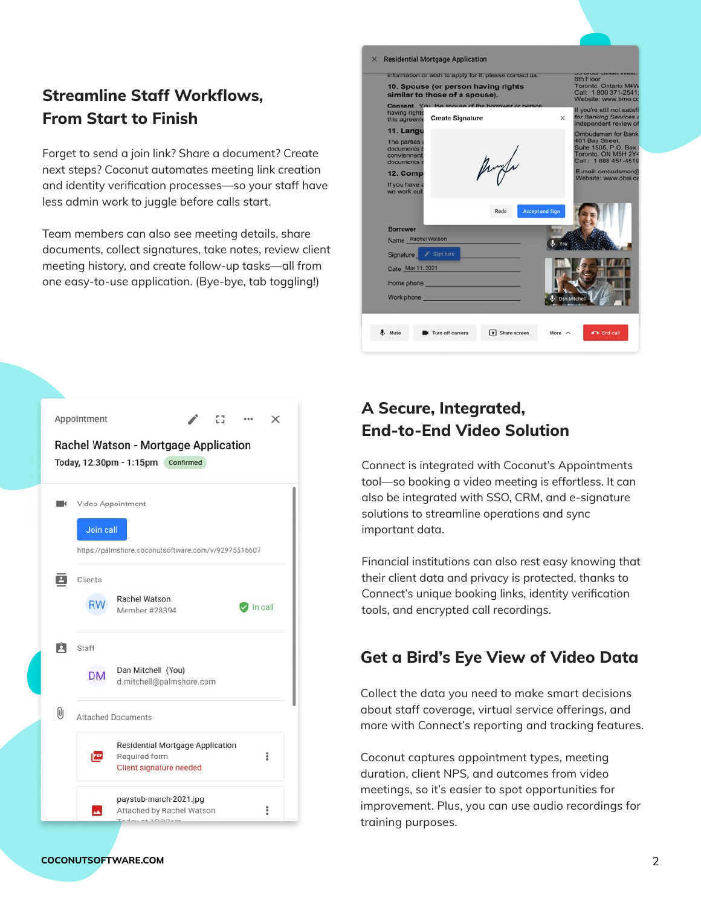## **Streamline Staff Workflows, From Start to Finish**

Forget to send a join link? Share a document? Create next steps? Coconut automates meeting link creation and identity verification processes—so your staff have less admin work to juggle before calls start.

Team members can also see meeting details, share documents, collect signatures, take notes, review client meeting history, and create follow-up tasks—all from one easy-to-use application. (Bye-bye, tab toggling!)

| $\times$<br><b>Residential Mortgage Application</b>                                                             |                                                                                        |
|-----------------------------------------------------------------------------------------------------------------|----------------------------------------------------------------------------------------|
| information or wish to apply for it, please contact us.                                                         | <b>IT WHEN YTOOL</b><br><b>8th Floor</b>                                               |
| 10. Spouse (or person having rights<br>similar to those of a spouse).                                           | Toronto, Ontario M4W<br>Call: 1 800 371-2541:<br>Website: www.bmo.cc                   |
| Consent. You the snouse of the horrower or person                                                               | If you're still not satisfi                                                            |
| having rights<br><b>Create Signature</b><br>this agreeme                                                        | for Banking Services &<br>$\times$<br>independent review of                            |
| 11. Langu                                                                                                       | <b>Ombudsman for Bank</b>                                                              |
| The parties<br>documents t<br>conviennent<br>Augh<br>documents s                                                | 401 Bay Street,<br>Suite 1505, P.O. Box<br>Toronto, ON M5H 2Y4<br>Call: 1 888 451-4519 |
| 12. Comp                                                                                                        | E-mail: ombudsman@                                                                     |
| If you have a<br>we work out                                                                                    | Website: www.obsi.ca                                                                   |
| <b>Accept and Sign</b><br>Redo<br><b>Borrower</b><br>Name Rachel Watson                                         |                                                                                        |
| Sign here                                                                                                       |                                                                                        |
| Signature                                                                                                       |                                                                                        |
| Date Mar 11, 2021                                                                                               |                                                                                        |
| Home phone the contract of the contract of the contract of the contract of the contract of the contract of the  |                                                                                        |
| Work phone with the contract of the contract of the contract of the contract of the contract of the contract of | <b>U</b> Dan Mitchell                                                                  |
|                                                                                                                 |                                                                                        |
|                                                                                                                 |                                                                                        |
| Turn off camera<br>share screen<br><b>J</b> Mute<br>More A                                                      | <b>Co</b> End call                                                                     |
|                                                                                                                 |                                                                                        |



## **A Secure, Integrated, End-to-End Video Solution**

Connect is integrated with Coconut's Appointments tool—so booking a video meeting is effortless. It can also be integrated with SSO, CRM, and e-signature solutions to streamline operations and sync important data.

Financial institutions can also rest easy knowing that their client data and privacy is protected, thanks to Connect's unique booking links, identity verification tools, and encrypted call recordings.

## **Get a Bird's Eye View of Video Data**

Collect the data you need to make smart decisions about staff coverage, virtual service offerings, and more with Connect's reporting and tracking features.

Coconut captures appointment types, meeting duration, client NPS, and outcomes from video meetings, so it's easier to spot opportunities for improvement. Plus, you can use audio recordings for training purposes.